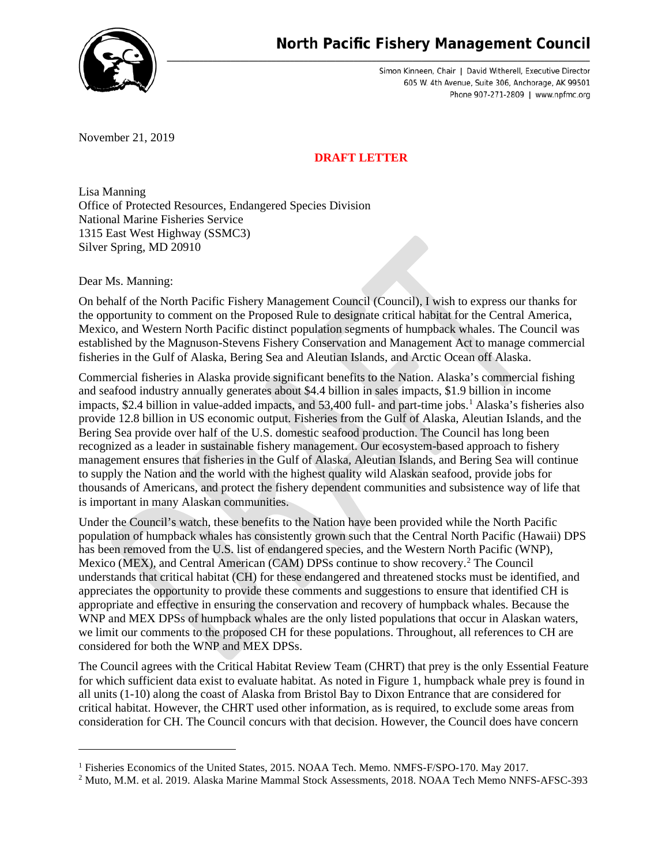

Simon Kinneen, Chair | David Witherell, Executive Director 605 W. 4th Avenue, Suite 306, Anchorage, AK 99501 Phone 907-271-2809 | www.npfmc.org

November 21, 2019

## **DRAFT LETTER**

Lisa Manning Office of Protected Resources, Endangered Species Division National Marine Fisheries Service 1315 East West Highway (SSMC3) Silver Spring, MD 20910

Dear Ms. Manning:

On behalf of the North Pacific Fishery Management Council (Council), I wish to express our thanks for the opportunity to comment on the Proposed Rule to designate critical habitat for the Central America, Mexico, and Western North Pacific distinct population segments of humpback whales. The Council was established by the Magnuson-Stevens Fishery Conservation and Management Act to manage commercial fisheries in the Gulf of Alaska, Bering Sea and Aleutian Islands, and Arctic Ocean off Alaska.

Commercial fisheries in Alaska provide significant benefits to the Nation. Alaska's commercial fishing and seafood industry annually generates about \$4.4 billion in sales impacts, \$1.9 billion in income impacts, \$2.4 billion in value-added impacts, and 53,400 full- and part-time jobs.[1](#page-0-0) Alaska's fisheries also provide 12.8 billion in US economic output. Fisheries from the Gulf of Alaska, Aleutian Islands, and the Bering Sea provide over half of the U.S. domestic seafood production. The Council has long been recognized as a leader in sustainable fishery management. Our ecosystem-based approach to fishery management ensures that fisheries in the Gulf of Alaska, Aleutian Islands, and Bering Sea will continue to supply the Nation and the world with the highest quality wild Alaskan seafood, provide jobs for thousands of Americans, and protect the fishery dependent communities and subsistence way of life that is important in many Alaskan communities.

Under the Council's watch, these benefits to the Nation have been provided while the North Pacific population of humpback whales has consistently grown such that the Central North Pacific (Hawaii) DPS has been removed from the U.S. list of endangered species, and the Western North Pacific (WNP), Mexico (MEX), and Central American (CAM) DPSs continue to show recovery[.2](#page-0-1) The Council understands that critical habitat (CH) for these endangered and threatened stocks must be identified, and appreciates the opportunity to provide these comments and suggestions to ensure that identified CH is appropriate and effective in ensuring the conservation and recovery of humpback whales. Because the WNP and MEX DPSs of humpback whales are the only listed populations that occur in Alaskan waters, we limit our comments to the proposed CH for these populations. Throughout, all references to CH are considered for both the WNP and MEX DPSs.

The Council agrees with the Critical Habitat Review Team (CHRT) that prey is the only Essential Feature for which sufficient data exist to evaluate habitat. As noted in Figure 1, humpback whale prey is found in all units (1-10) along the coast of Alaska from Bristol Bay to Dixon Entrance that are considered for critical habitat. However, the CHRT used other information, as is required, to exclude some areas from consideration for CH. The Council concurs with that decision. However, the Council does have concern

<span id="page-0-0"></span><sup>&</sup>lt;sup>1</sup> Fisheries Economics of the United States, 2015. NOAA Tech. Memo. NMFS-F/SPO-170. May 2017.

<span id="page-0-1"></span><sup>2</sup> Muto, M.M. et al. 2019. Alaska Marine Mammal Stock Assessments, 2018. NOAA Tech Memo NNFS-AFSC-393